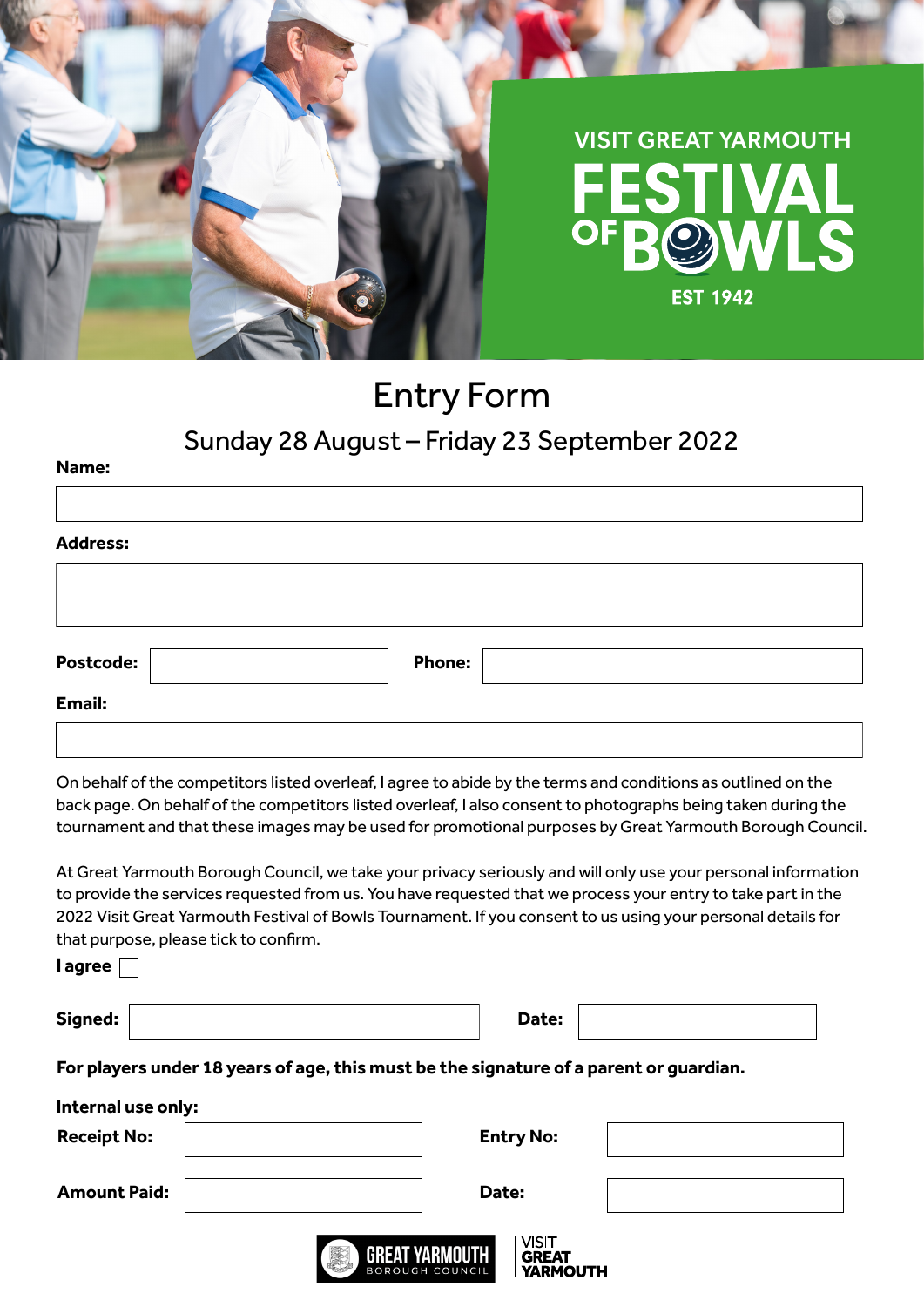

# Entry Form

S

## Sunday 28 August – Friday 23 September 2022

| <b>Address:</b> |               |  |
|-----------------|---------------|--|
|                 |               |  |
|                 |               |  |
|                 |               |  |
|                 |               |  |
| Postcode:       | <b>Phone:</b> |  |

On behalf of the competitors listed overleaf, I agree to abide by the terms and conditions as outlined on the back page. On behalf of the competitors listed overleaf, I also consent to photographs being taken during the tournament and that these images may be used for promotional purposes by Great Yarmouth Borough Council.

At Great Yarmouth Borough Council, we take your privacy seriously and will only use your personal information to provide the services requested from us. You have requested that we process your entry to take part in the 2022 Visit Great Yarmouth Festival of Bowls Tournament. If you consent to us using your personal details for that purpose, please tick to confirm.

**I agree**

**Name:**

| Signed: | Date: |  |
|---------|-------|--|
|         |       |  |

**For players under 18 years of age, this must be the signature of a parent or guardian.**

| Internal use only:  |                                                                                                  |  |
|---------------------|--------------------------------------------------------------------------------------------------|--|
| <b>Receipt No:</b>  | <b>Entry No:</b>                                                                                 |  |
| <b>Amount Paid:</b> | Date:                                                                                            |  |
|                     | <b>VISIT</b><br>E<br><b>GREAT YARMOUTH</b><br><b>GREAT</b><br>BOROUGH COUNCIL<br><b>YARMOUTH</b> |  |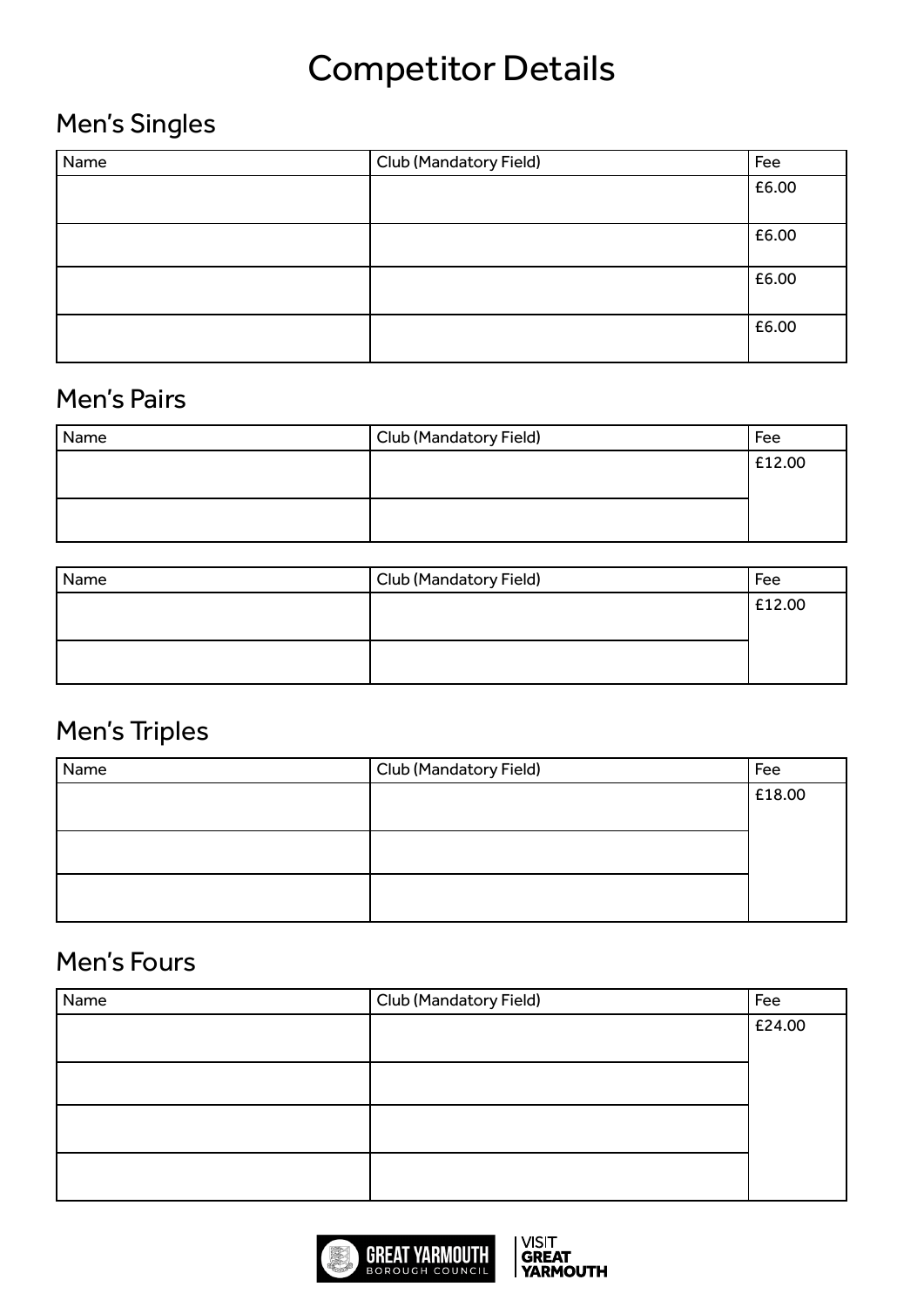## Competitor Details

#### Men's Singles

| Name | <b>Club (Mandatory Field)</b> | Fee   |
|------|-------------------------------|-------|
|      |                               | £6.00 |
|      |                               |       |
|      |                               | £6.00 |
|      |                               | £6.00 |
|      |                               | £6.00 |

#### Men's Pairs

| Name | Club (Mandatory Field) | Fee    |
|------|------------------------|--------|
|      |                        | £12.00 |
|      |                        |        |
|      |                        |        |
|      |                        |        |

| Name | Club (Mandatory Field) | Fee    |
|------|------------------------|--------|
|      |                        | E12.00 |
|      |                        |        |
|      |                        |        |
|      |                        |        |

## Men's Triples

| Name | Club (Mandatory Field) | Fee    |
|------|------------------------|--------|
|      |                        | £18.00 |
|      |                        |        |
|      |                        |        |
|      |                        |        |
|      |                        |        |
|      |                        |        |

#### Men's Fours

| Name | Club (Mandatory Field) | Fee    |
|------|------------------------|--------|
|      |                        | £24.00 |
|      |                        |        |
|      |                        |        |
|      |                        |        |
|      |                        |        |
|      |                        |        |
|      |                        |        |
|      |                        |        |

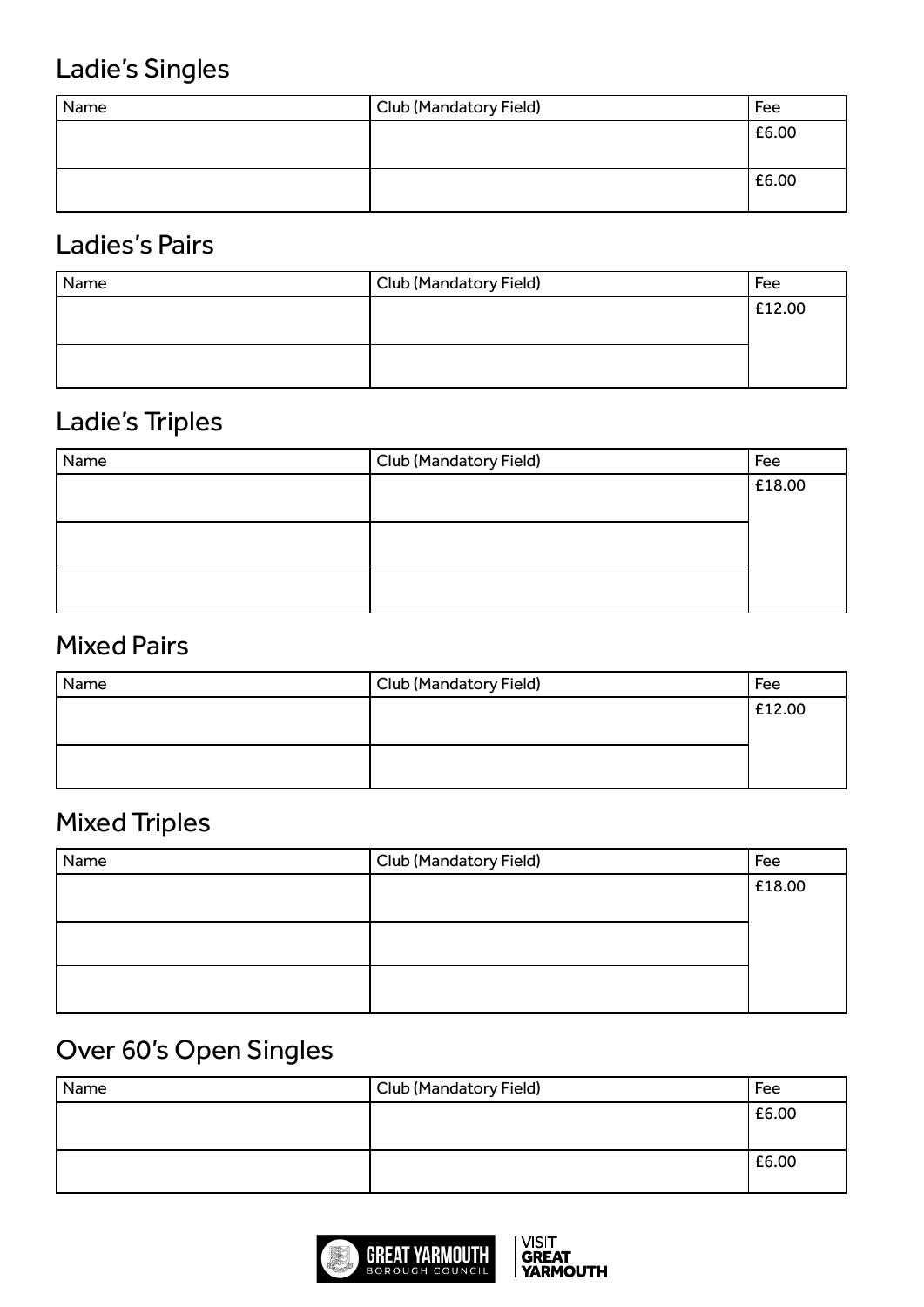## Ladie's Singles

| Name | Club (Mandatory Field) | Fee   |
|------|------------------------|-------|
|      |                        | £6.00 |
|      |                        | £6.00 |

#### Ladies's Pairs

| Name | Club (Mandatory Field) | Fee    |
|------|------------------------|--------|
|      |                        | £12.00 |
|      |                        |        |
|      |                        |        |
|      |                        |        |

## Ladie's Triples

| Name | Club (Mandatory Field) | Fee    |
|------|------------------------|--------|
|      |                        | £18.00 |
|      |                        |        |
|      |                        |        |
|      |                        |        |
|      |                        |        |
|      |                        |        |

#### Mixed Pairs

| Name | Club (Mandatory Field) | Fee    |
|------|------------------------|--------|
|      |                        | £12.00 |
|      |                        |        |
|      |                        |        |
|      |                        |        |

#### Mixed Triples

| Name | Club (Mandatory Field) | Fee    |
|------|------------------------|--------|
|      |                        | £18.00 |
|      |                        |        |
|      |                        |        |
|      |                        |        |
|      |                        |        |
|      |                        |        |

## Over 60's Open Singles

| Name | Club (Mandatory Field) | Fee   |
|------|------------------------|-------|
|      |                        | £6.00 |
|      |                        | £6.00 |

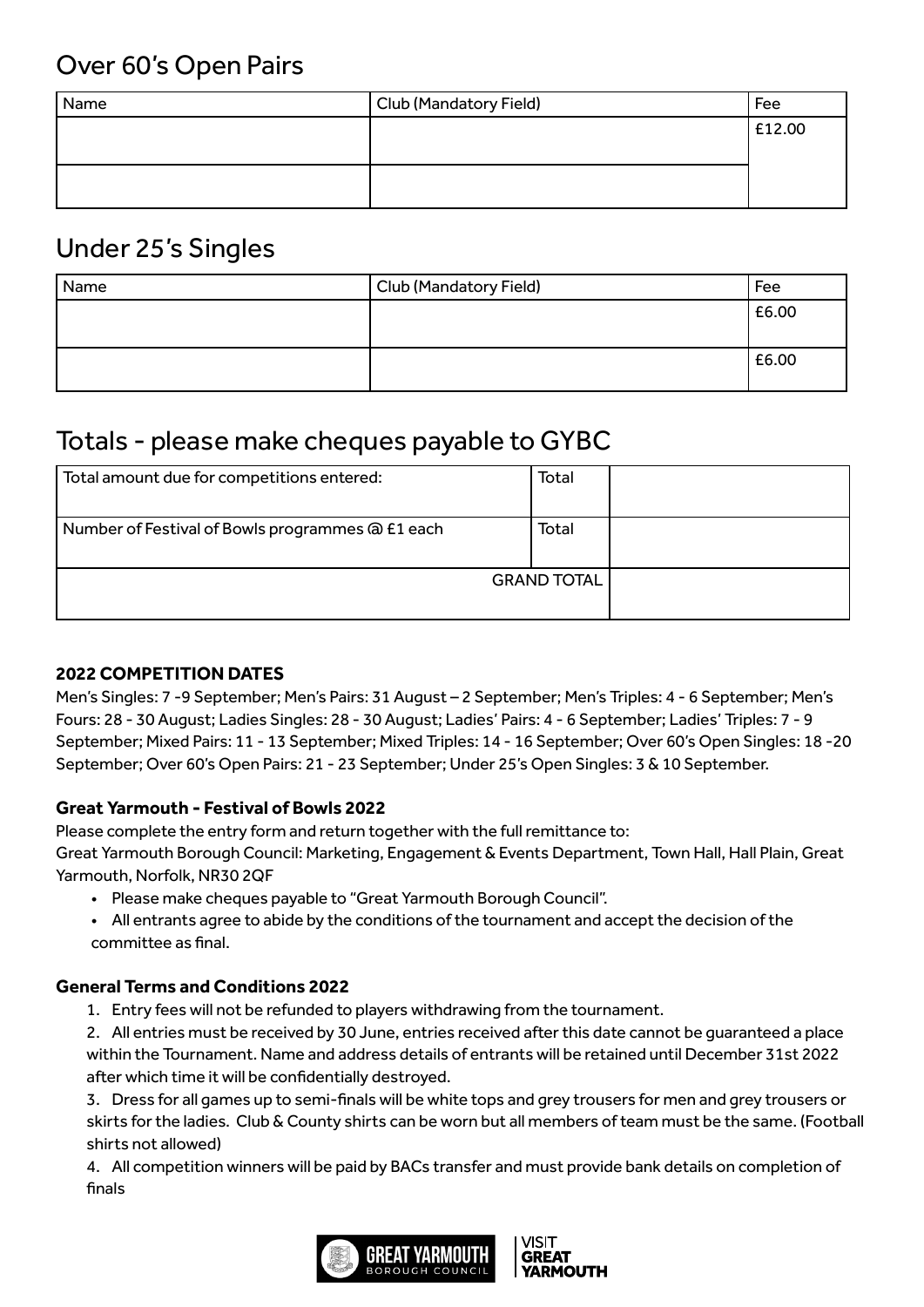#### Over 60's Open Pairs

| Name | Club (Mandatory Field) | Fee    |
|------|------------------------|--------|
|      |                        | £12.00 |
|      |                        |        |
|      |                        |        |
|      |                        |        |

#### Under 25's Singles

| Name | Club (Mandatory Field) | Fee   |
|------|------------------------|-------|
|      |                        | £6.00 |
|      |                        | £6.00 |

## Totals - please make cheques payable to GYBC

| Total amount due for competitions entered:       | Total |  |
|--------------------------------------------------|-------|--|
| Number of Festival of Bowls programmes @ £1 each | Total |  |
| <b>GRAND TOTAL</b>                               |       |  |

#### **2022 COMPETITION DATES**

Men's Singles: 7 -9 September; Men's Pairs: 31 August – 2 September; Men's Triples: 4 - 6 September; Men's Fours: 28 - 30 August; Ladies Singles: 28 - 30 August; Ladies' Pairs: 4 - 6 September; Ladies' Triples: 7 - 9 September; Mixed Pairs: 11 - 13 September; Mixed Triples: 14 - 16 September; Over 60's Open Singles: 18 -20 September; Over 60's Open Pairs: 21 - 23 September; Under 25's Open Singles: 3 & 10 September.

#### **Great Yarmouth - Festival of Bowls 2022**

Please complete the entry form and return together with the full remittance to:

Great Yarmouth Borough Council: Marketing, Engagement & Events Department, Town Hall, Hall Plain, Great Yarmouth, Norfolk, NR30 2QF

- Please make cheques payable to "Great Yarmouth Borough Council".
- All entrants agree to abide by the conditions of the tournament and accept the decision of the committee as final.

#### **General Terms and Conditions 2022**

1. Entry fees will not be refunded to players withdrawing from the tournament.

2. All entries must be received by 30 June, entries received after this date cannot be guaranteed a place within the Tournament. Name and address details of entrants will be retained until December 31st 2022 after which time it will be confidentially destroyed.

3. Dress for all games up to semi-finals will be white tops and grey trousers for men and grey trousers or skirts for the ladies. Club & County shirts can be worn but all members of team must be the same. (Football shirts not allowed)

4. All competition winners will be paid by BACs transfer and must provide bank details on completion of finals